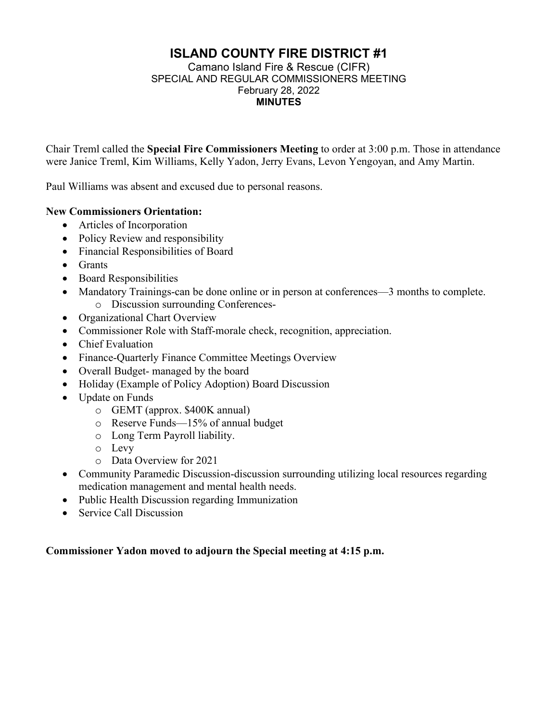# **ISLAND COUNTY FIRE DISTRICT #1**

#### Camano Island Fire & Rescue (CIFR) SPECIAL AND REGULAR COMMISSIONERS MEETING February 28, 2022 **MINUTES**

Chair Treml called the **Special Fire Commissioners Meeting** to order at 3:00 p.m. Those in attendance were Janice Treml, Kim Williams, Kelly Yadon, Jerry Evans, Levon Yengoyan, and Amy Martin.

Paul Williams was absent and excused due to personal reasons.

# **New Commissioners Orientation:**

- Articles of Incorporation
- Policy Review and responsibility
- Financial Responsibilities of Board
- Grants
- Board Responsibilities
- Mandatory Trainings-can be done online or in person at conferences—3 months to complete. o Discussion surrounding Conferences-
- Organizational Chart Overview
- Commissioner Role with Staff-morale check, recognition, appreciation.
- Chief Evaluation
- Finance-Quarterly Finance Committee Meetings Overview
- Overall Budget- managed by the board
- Holiday (Example of Policy Adoption) Board Discussion
- Update on Funds
	- o GEMT (approx. \$400K annual)
	- o Reserve Funds—15% of annual budget
	- o Long Term Payroll liability.
	- o Levy
	- o Data Overview for 2021
- Community Paramedic Discussion-discussion surrounding utilizing local resources regarding medication management and mental health needs.
- Public Health Discussion regarding Immunization
- Service Call Discussion

# **Commissioner Yadon moved to adjourn the Special meeting at 4:15 p.m.**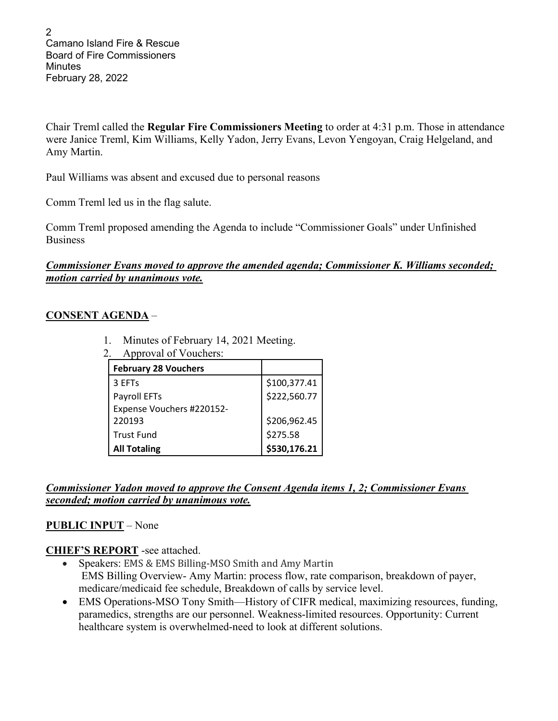2 Camano Island Fire & Rescue Board of Fire Commissioners **Minutes** February 28, 2022

Chair Treml called the **Regular Fire Commissioners Meeting** to order at 4:31 p.m. Those in attendance were Janice Treml, Kim Williams, Kelly Yadon, Jerry Evans, Levon Yengoyan, Craig Helgeland, and Amy Martin.

Paul Williams was absent and excused due to personal reasons

Comm Treml led us in the flag salute.

Comm Treml proposed amending the Agenda to include "Commissioner Goals" under Unfinished Business

# *Commissioner Evans moved to approve the amended agenda; Commissioner K. Williams seconded; motion carried by unanimous vote.*

# **CONSENT AGENDA** –

- 1. Minutes of February 14, 2021 Meeting.
- 2. Approval of Vouchers:

| <b>February 28 Vouchers</b> |              |
|-----------------------------|--------------|
| 3 EFTs                      | \$100,377.41 |
| Payroll EFTs                | \$222,560.77 |
| Expense Vouchers #220152-   |              |
| 220193                      | \$206,962.45 |
| <b>Trust Fund</b>           | \$275.58     |
| <b>All Totaling</b>         | \$530,176.21 |

*Commissioner Yadon moved to approve the Consent Agenda items 1, 2; Commissioner Evans seconded; motion carried by unanimous vote.*

# **PUBLIC INPUT** – None

# **CHIEF'S REPORT** -see attached.

- Speakers: EMS & EMS Billing-MSO Smith and Amy Martin EMS Billing Overview- Amy Martin: process flow, rate comparison, breakdown of payer, medicare/medicaid fee schedule, Breakdown of calls by service level.
- EMS Operations-MSO Tony Smith—History of CIFR medical, maximizing resources, funding, paramedics, strengths are our personnel. Weakness-limited resources. Opportunity: Current healthcare system is overwhelmed-need to look at different solutions.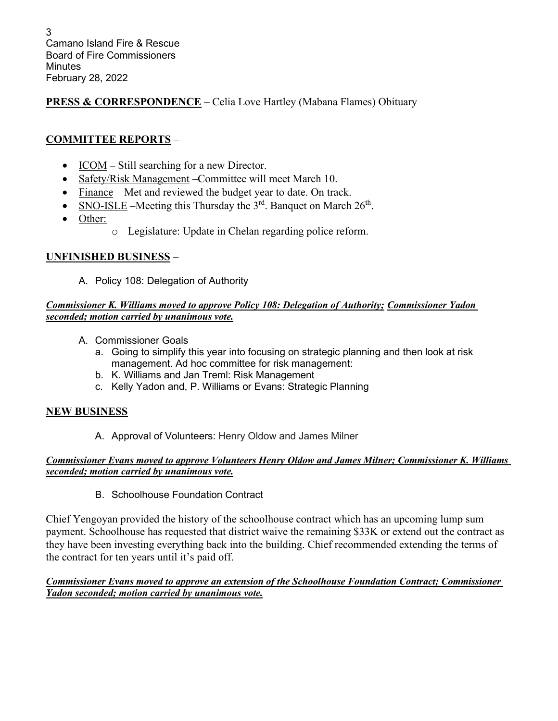# **PRESS & CORRESPONDENCE** – Celia Love Hartley (Mabana Flames) Obituary

# **COMMITTEE REPORTS** –

- ICOM Still searching for a new Director.
- Safety/Risk Management Committee will meet March 10.
- Finance Met and reviewed the budget year to date. On track.
- SNO-ISLE –Meeting this Thursday the  $3<sup>rd</sup>$ . Banquet on March  $26<sup>th</sup>$ .
- Other:
	- o Legislature: Update in Chelan regarding police reform.

# **UNFINISHED BUSINESS** –

A. Policy 108: Delegation of Authority

### *Commissioner K. Williams moved to approve Policy 108: Delegation of Authority; Commissioner Yadon seconded; motion carried by unanimous vote.*

- A. Commissioner Goals
	- a. Going to simplify this year into focusing on strategic planning and then look at risk management. Ad hoc committee for risk management:
	- b. K. Williams and Jan Treml: Risk Management
	- c. Kelly Yadon and, P. Williams or Evans: Strategic Planning

# **NEW BUSINESS**

A. Approval of Volunteers: Henry Oldow and James Milner

#### *Commissioner Evans moved to approve Volunteers Henry Oldow and James Milner; Commissioner K. Williams seconded; motion carried by unanimous vote.*

B. Schoolhouse Foundation Contract

Chief Yengoyan provided the history of the schoolhouse contract which has an upcoming lump sum payment. Schoolhouse has requested that district waive the remaining \$33K or extend out the contract as they have been investing everything back into the building. Chief recommended extending the terms of the contract for ten years until it's paid off.

#### *Commissioner Evans moved to approve an extension of the Schoolhouse Foundation Contract; Commissioner Yadon seconded; motion carried by unanimous vote.*